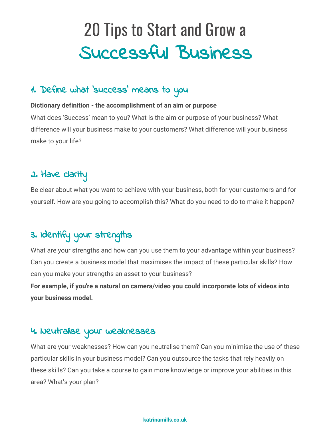# 20 Tips to Start and Grow a Successful Business

## 1. Define what 'success' means to you

#### **Dictionary definition - the accomplishment of an aim or purpose**

What does 'Success' mean to you? What is the aim or purpose of your business? What difference will your business make to your customers? What difference will your business make to your life?

## 2. Have clarity

Be clear about what you want to achieve with your business, both for your customers and for yourself. How are you going to accomplish this? What do you need to do to make it happen?

## 3. Identify your strengths

What are your strengths and how can you use them to your advantage within your business? Can you create a business model that maximises the impact of these particular skills? How can you make your strengths an asset to your business?

**For example, if you're a natural on camera/video you could incorporate lots of videos into your business model.**

## 4. Neutralise your weaknesses

What are your weaknesses? How can you neutralise them? Can you minimise the use of these particular skills in your business model? Can you outsource the tasks that rely heavily on these skills? Can you take a course to gain more knowledge or improve your abilities in this area? What's your plan?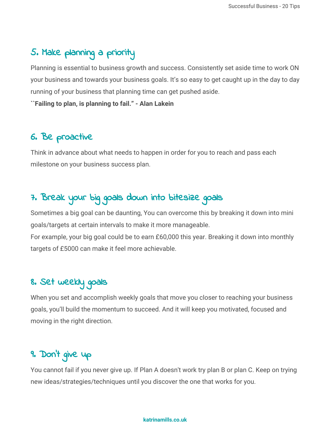# 5. Make planning a priority

Planning is essential to business growth and success. Consistently set aside time to work ON your business and towards your business goals. It's so easy to get caught up in the day to day running of your business that planning time can get pushed aside.

**``Failing to plan, is planning to fail." - Alan Lakein**

## 6. Be proactive

Think in advance about what needs to happen in order for you to reach and pass each milestone on your business success plan.

## 7. Break your big goals down into bitesize goals

Sometimes a big goal can be daunting, You can overcome this by breaking it down into mini goals/targets at certain intervals to make it more manageable.

For example, your big goal could be to earn £60,000 this year. Breaking it down into monthly targets of £5000 can make it feel more achievable.

## 8. Set weekly goals

When you set and accomplish weekly goals that move you closer to reaching your business goals, you'll build the momentum to succeed. And it will keep you motivated, focused and moving in the right direction.

## 9. Don't give up

You cannot fail if you never give up. If Plan A doesn't work try plan B or plan C. Keep on trying new ideas/strategies/techniques until you discover the one that works for you.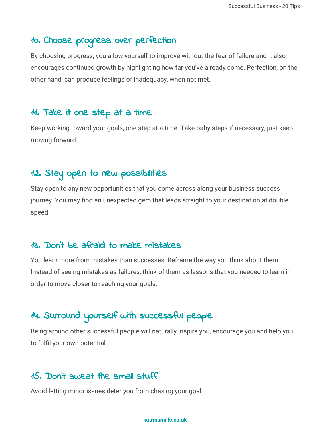## 10. Choose progress over perfection

By choosing progress, you allow yourself to improve without the fear of failure and it also encourages continued growth by highlighting how far you've already come. Perfection, on the other hand, can produce feelings of inadequacy, when not met.

#### 11. Take it one step at a time

Keep working toward your goals, one step at a time. Take baby steps if necessary, just keep moving forward.

## 12. Stay open to new possibilities

Stay open to any new opportunities that you come across along your business success journey. You may find an unexpected gem that leads straight to your destination at double speed.

#### 13. Don't be afraid to make mistakes

You learn more from mistakes than successes. Reframe the way you think about them. Instead of seeing mistakes as failures, think of them as lessons that you needed to learn in order to move closer to reaching your goals.

## 14. Surround yourself with successful people

Being around other successful people will naturally inspire you, encourage you and help you to fulfil your own potential.

## 15. Don't sweat the small stuff

Avoid letting minor issues deter you from chasing your goal.

#### **katrinamills.co.uk**